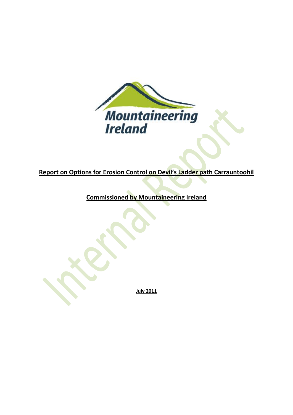

# **Report on Options for Erosion Control on Devil's Ladder path Carrauntoohil**

**Commissioned by Mountaineering Ireland**

**July 2011**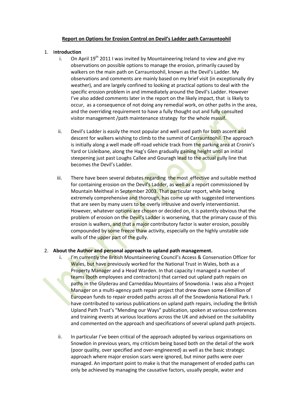# **Report on Options for Erosion Control on Devil's Ladder path Carrauntoohil**

# 1. I**ntroduction**

- i. On April  $19<sup>th</sup>$  2011 I was invited by Mountaineering Ireland to view and give my observations on possible options to manage the erosion, primarily caused by walkers on the main path on Carrauntoohil, known as the Devil's Ladder. My observations and comments are mainly based on my brief visit (in exceptionally dry weather), and are largely confined to looking at practical options to deal with the specific erosion problem in and immediately around the Devil's Ladder. However I've also added comments later in the report on the likely impact, that is likely to occur, as a consequence of not doing any remedial work, on other paths in the area, and the overriding requirement to have a fully thought out and fully consulted visitor management /path maintenance strategy for the whole massif.
- ii. Devil's Ladder is easily the most popular and well used path for both ascent and descent for walkers wishing to climb to the summit of Carrauntoohil. The approach is initially along a well made off-road vehicle track from the parking area at Cronin's Yard or Lisleibane, along the Hag's Glen gradually gaining height until an initial steepening just past Loughs Callee and Gouragh lead to the actual gully line that becomes the Devil's Ladder.
- iii. There have been several debates regarding the most effective and suitable method for containing erosion on the Devil's Ladder, as well as a report commissioned by Mountain Meitheal in September 2003. That particular report, while being extremely comprehensive and thorough, has come up with suggested interventions that are seen by many users to be overly intrusive and overly interventionist. However, whatever options are chosen or decided on, it is patently obvious that the problem of erosion on the Devil's Ladder is worsening, that the primary cause of this erosion is walkers, and that a major contributory factor is water erosion, possibly compounded by some freeze thaw activity, especially on the highly unstable side walls of the upper part of the gully.

# 2. **About the Author and personal approach to upland path management.**

- i. I'm currently the British Mountaineering Council's Access & Conservation Officer for Wales, but have previously worked for the National Trust in Wales, both as a Property Manager and a Head Warden. In that capacity I managed a number of teams (both employees and contractors) that carried out upland path repairs on paths in the Glyderau and Carneddau Mountains of Snowdonia. I was also a Project Manager on a multi-agency path repair project that drew down some £4million of European funds to repair eroded paths across all of the Snowdonia National Park. I have contributed to various publications on upland path repairs, including the British Upland Path Trust's "Mending our Ways" publication, spoken at various conferences and training events at various locations across the UK and advised on the suitability and commented on the approach and specifications of several upland path projects.
- ii. In particular I've been critical of the approach adopted by various organisations on Snowdon in previous years, my criticism being based both on the detail of the work (poor quality, over specified and over-engineered) as well as the basic strategic approach where major erosion scars were ignored, but minor paths were over managed. An important point to make is that the management of eroded paths can only be achieved by managing the causative factors, usually people, water and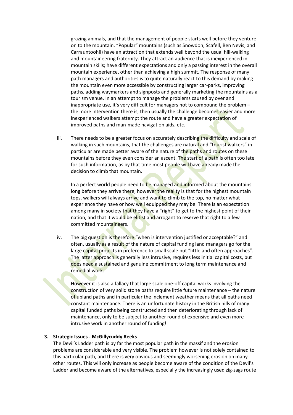grazing animals, and that the management of people starts well before they venture on to the mountain. "Popular" mountains (such as Snowdon, Scafell, Ben Nevis, and Carrauntoohil) have an attraction that extends well beyond the usual hill-walking and mountaineering fraternity. They attract an audience that is inexperienced in mountain skills; have different expectations and only a passing interest in the overall mountain experience, other than achieving a high summit. The response of many path managers and authorities is to quite naturally react to this demand by making the mountain even more accessible by constructing larger car-parks, improving paths, adding waymarkers and signposts and generally marketing the mountains as a tourism venue. In an attempt to manage the problems caused by over and inappropriate use, it's very difficult for managers not to compound the problem – the more intervention there is, then usually the challenge becomes easier and more inexperienced walkers attempt the route and have a greater expectation of improved paths and man-made navigation aids, etc.

iii. There needs to be a greater focus on accurately describing the difficulty and scale of walking in such mountains, that the challenges are natural and "tourist walkers" in particular are made better aware of the nature of the paths and routes on these mountains before they even consider an ascent. The start of a path is often too late for such information, as by that time most people will have already made the decision to climb that mountain.

In a perfect world people need to be managed and informed about the mountains long before they arrive there, however the reality is that for the highest mountain tops, walkers will always arrive and want to climb to the top, no matter what experience they have or how well equipped they may be. There is an expectation among many in society that they have a "right" to get to the highest point of their nation, and that it would be elitist and arrogant to reserve that right to a few committed mountaineers.

iv. The big question is therefore "when is intervention justified or acceptable?" and often, usually as a result of the nature of capital funding land managers go for the large capital projects in preference to small scale but "little and often approaches". The latter approach is generally less intrusive, requires less initial capital costs, but does need a sustained and genuine commitment to long term maintenance and remedial work.

However it is also a fallacy that large scale one-off capital works involving the construction of very solid stone paths require little future maintenance – the nature of upland paths and in particular the inclement weather means that all paths need constant maintenance. There is an unfortunate history in the British hills of many capital funded paths being constructed and then deteriorating through lack of maintenance, only to be subject to another round of expensive and even more intrusive work in another round of funding!

## **3. Strategic Issues - McGillycuddy Reeks**

The Devil's Ladder path is by far the most popular path in the massif and the erosion problems are considerable and very visible. The problem however is not solely contained to this particular path, and there is very obvious and seemingly worsening erosion on many other routes. This will only increase as people become aware of the condition of the Devil's Ladder and become aware of the alternatives, especially the increasingly used zig-zags route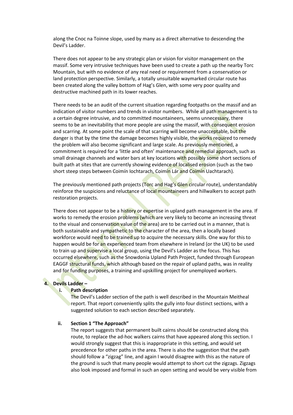along the Cnoc na Toinne slope, used by many as a direct alternative to descending the Devil's Ladder.

There does not appear to be any strategic plan or vision for visitor management on the massif. Some very intrusive techniques have been used to create a path up the nearby Torc Mountain, but with no evidence of any real need or requirement from a conservation or land protection perspective. Similarly, a totally unsuitable waymarked circular route has been created along the valley bottom of Hag's Glen, with some very poor quality and destructive machined path in its lower reaches.

There needs to be an audit of the current situation regarding footpaths on the massif and an indication of visitor numbers and trends in visitor numbers. While all path management is to a certain degree intrusive, and to committed mountaineers, seems unnecessary, there seems to be an inevitability that more people are using the massif, with consequent erosion and scarring. At some point the scale of that scarring will become unacceptable, but the danger is that by the time the damage becomes highly visible, the works required to remedy the problem will also become significant and large scale. As previously mentioned, a commitment is required for a 'little and often' maintenance and remedial approach, such as small drainage channels and water bars at key locations with possibly some short sections of built path at sites that are currently showing evidence of localised erosion (such as the two short steep steps between Coimín Iochtarach, Coimín Lár and Coimín Uachtarach).

The previously mentioned path projects (Torc and Hag's Glen circular route), understandably reinforce the suspicions and reluctance of local mountaineers and hillwalkers to accept path restoration projects.

There does not appear to be a history or expertise in upland path management in the area. If works to remedy the erosion problems (which are very likely to become an increasing threat to the visual and conservation value of the area) are to be carried out in a manner, that is both sustainable and sympathetic to the character of the area, then a locally based workforce would need to be trained up to acquire the necessary skills. One way for this to happen would be for an experienced team from elsewhere in Ireland (or the UK) to be used to train up and supervise a local group, using the Devil's Ladder as the focus. This has occurred elsewhere, such as the Snowdonia Upland Path Project, funded through European EAGGF structural funds, which although based on the repair of upland paths, was in reality and for funding purposes, a training and upskilling project for unemployed workers.

## **4. Devils Ladder –**

#### **i. Path description**

The Devil's Ladder section of the path is well described in the Mountain Meitheal report. That report conveniently splits the gully into four distinct sections, with a suggested solution to each section described separately.

## **ii. Section 1 "The Approach"**

The report suggests that permanent built cairns should be constructed along this route, to replace the ad-hoc walkers cairns that have appeared along this section. I would strongly suggest that this is inappropriate in this setting, and would set precedence for other paths in the area. There is also the suggestion that the path should follow a "zigzag" line, and again I would disagree with this as the nature of the ground is such that many people would attempt to short cut the zigzags. Zigzags also look imposed and formal in such an open setting and would be very visible from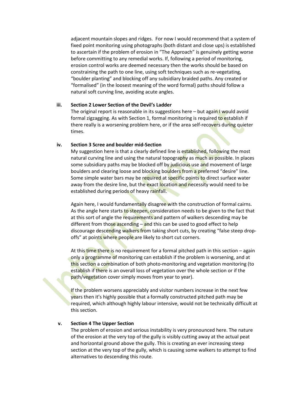adjacent mountain slopes and ridges. For now I would recommend that a system of fixed point monitoring using photographs (both distant and close ups) is established to ascertain if the problem of erosion in "The Approach" is genuinely getting worse before committing to any remedial works. If, following a period of monitoring, erosion control works are deemed necessary then the works should be based on constraining the path to one line, using soft techniques such as re-vegetating, "boulder planting" and blocking off any subsidiary braided paths. Any created or "formalised" (in the loosest meaning of the word formal) paths should follow a natural soft curving line, avoiding acute angles.

## **iii. Section 2 Lower Section of the Devil's Ladder**

The original report is reasonable in its suggestions here  $-$  but again I would avoid formal zigzagging. As with Section 1, formal monitoring is required to establish if there really is a worsening problem here, or if the area self-recovers during quieter times.

# **iv. Section 3 Scree and boulder mid-Section**

My suggestion here is that a clearly defined line is established, following the most natural curving line and using the natural topography as much as possible. In places some subsidiary paths may be blocked off by judicious use and movement of large boulders and clearing loose and blocking boulders from a preferred "desire" line. Some simple water bars may be required at specific points to direct surface water away from the desire line, but the exact location and necessity would need to be established during periods of heavy rainfall.

Again here, I would fundamentally disagree with the construction of formal cairns. As the angle here starts to steepen, consideration needs to be given to the fact that at this sort of angle the requirements and pattern of walkers descending may be different from those ascending  $-\frac{1}{2}$  and this can be used to good effect to help discourage descending walkers from taking short cuts, by creating "false steep dropoffs" at points where people are likely to short cut corners.

At this time there is no requirement for a formal pitched path in this section – again only a programme of monitoring can establish if the problem is worsening, and at this section a combination of both photo-monitoring and vegetation monitoring (to establish if there is an overall loss of vegetation over the whole section or if the path/vegetation cover simply moves from year to year).

If the problem worsens appreciably and visitor numbers increase in the next few years then it's highly possible that a formally constructed pitched path may be required, which although highly labour intensive, would not be technically difficult at this section.

# **v. Section 4 The Upper Section**

The problem of erosion and serious instability is very pronounced here. The nature of the erosion at the very top of the gully is visibly cutting away at the actual peat and horizontal ground above the gully. This is creating an ever increasing steep section at the very top of the gully, which is causing some walkers to attempt to find alternatives to descending this route.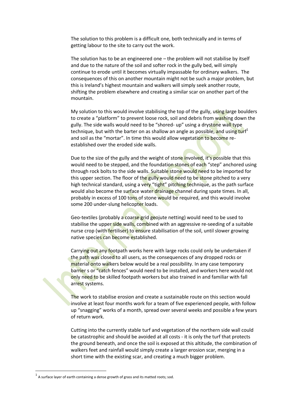The solution to this problem is a difficult one, both technically and in terms of getting labour to the site to carry out the work.

The solution has to be an engineered one – the problem will not stabilise by itself and due to the nature of the soil and softer rock in the gully bed, will simply continue to erode until it becomes virtually impassable for ordinary walkers. The consequences of this on another mountain might not be such a major problem, but this is Ireland's highest mountain and walkers will simply seek another route, shifting the problem elsewhere and creating a similar scar on another part of the mountain.

My solution to this would involve stabilising the top of the gully, using large boulders to create a "platform" to prevent loose rock, soil and debris from washing down the gully. The side walls would need to be "shored- up" using a drystone wall type technique, but with the barter on as shallow an angle as possible, and using turf<sup>1</sup> and soil as the "mortar". In time this would allow vegetation to become reestablished over the eroded side walls.

Due to the size of the gully and the weight of stone involved, it's possible that this would need to be stepped, and the foundation stones of each "step" anchored using through rock bolts to the side walls. Suitable stone would need to be imported for this upper section. The floor of the gully would need to be stone pitched to a very high technical standard, using a very "tight" pitching technique, as the path surface would also become the surface water drainage channel during spate times. In all, probably in excess of 100 tons of stone would be required, and this would involve some 200 under-slung helicopter loads.

Geo-textiles (probably a coarse grid geojute netting) would need to be used to stabilise the upper side walls, combined with an aggressive re-seeding of a suitable nurse crop (with fertiliser) to ensure stabilisation of the soil, until slower growing native species can become established.

Carrying out any footpath works here with large rocks could only be undertaken if the path was closed to all users, as the consequences of any dropped rocks or material onto walkers below would be a real possibility. In any case temporary barrier s or "catch fences" would need to be installed, and workers here would not only need to be skilled footpath workers but also trained in and familiar with fall arrest systems.

The work to stabilise erosion and create a sustainable route on this section would involve at least four months work for a team of five experienced people, with follow up "snagging" works of a month, spread over several weeks and possible a few years of return work.

Cutting into the currently stable turf and vegetation of the northern side wall could be catastrophic and should be avoided at all costs - it is only the turf that protects the ground beneath, and once the soil is exposed at this altitude, the combination of walkers feet and rainfall would simply create a larger erosion scar, merging in a short time with the existing scar, and creating a much bigger problem.

**.** 

 $^{1}$  A surface layer of earth containing a dense growth of grass and its matted roots; sod.